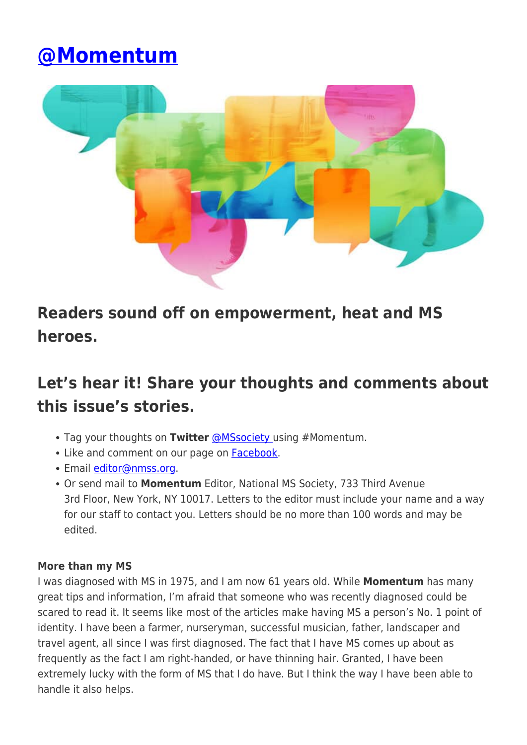# **[@Momentum](https://momentummagazineonline.com/momentum-3/)**



# **Readers sound off on empowerment, heat and MS heroes.**

# **Let's hear it! Share your thoughts and comments about this issue's stories.**

- Tag your thoughts on **Twitter** [@MSsociety](https://twitter.com/mssociety) using #Momentum.
- Like and comment on our page on [Facebook](https://facebook.com/nationalMSsociety).
- Email *[editor@nmss.org](mailto:editor@nmss.org)*.
- Or send mail to **Momentum** Editor, National MS Society, 733 Third Avenue 3rd Floor, New York, NY 10017. Letters to the editor must include your name and a way for our staff to contact you. Letters should be no more than 100 words and may be edited.

# **More than my MS**

I was diagnosed with MS in 1975, and I am now 61 years old. While **Momentum** has many great tips and information, I'm afraid that someone who was recently diagnosed could be scared to read it. It seems like most of the articles make having MS a person's No. 1 point of identity. I have been a farmer, nurseryman, successful musician, father, landscaper and travel agent, all since I was first diagnosed. The fact that I have MS comes up about as frequently as the fact I am right-handed, or have thinning hair. Granted, I have been extremely lucky with the form of MS that I do have. But I think the way I have been able to handle it also helps.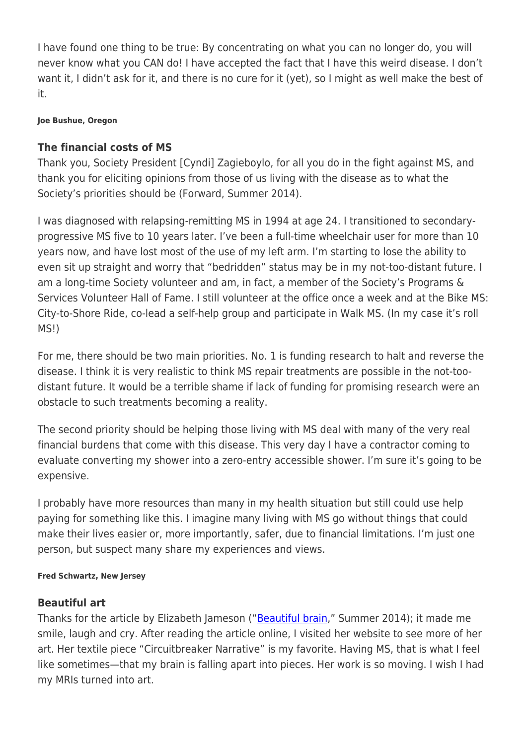I have found one thing to be true: By concentrating on what you can no longer do, you will never know what you CAN do! I have accepted the fact that I have this weird disease. I don't want it, I didn't ask for it, and there is no cure for it (yet), so I might as well make the best of it.

#### **Joe Bushue, Oregon**

# **The financial costs of MS**

Thank you, Society President [Cyndi] Zagieboylo, for all you do in the fight against MS, and thank you for eliciting opinions from those of us living with the disease as to what the Society's priorities should be (Forward, Summer 2014).

I was diagnosed with relapsing-remitting MS in 1994 at age 24. I transitioned to secondaryprogressive MS five to 10 years later. I've been a full-time wheelchair user for more than 10 years now, and have lost most of the use of my left arm. I'm starting to lose the ability to even sit up straight and worry that "bedridden" status may be in my not-too-distant future. I am a long-time Society volunteer and am, in fact, a member of the Society's Programs & Services Volunteer Hall of Fame. I still volunteer at the office once a week and at the Bike MS: City-to-Shore Ride, co-lead a self-help group and participate in Walk MS. (In my case it's roll MS!)

For me, there should be two main priorities. No. 1 is funding research to halt and reverse the disease. I think it is very realistic to think MS repair treatments are possible in the not-toodistant future. It would be a terrible shame if lack of funding for promising research were an obstacle to such treatments becoming a reality.

The second priority should be helping those living with MS deal with many of the very real financial burdens that come with this disease. This very day I have a contractor coming to evaluate converting my shower into a zero-entry accessible shower. I'm sure it's going to be expensive.

I probably have more resources than many in my health situation but still could use help paying for something like this. I imagine many living with MS go without things that could make their lives easier or, more importantly, safer, due to financial limitations. I'm just one person, but suspect many share my experiences and views.

#### **Fred Schwartz, New Jersey**

## **Beautiful art**

Thanks for the article by Elizabeth Jameson (["Beautiful brain](https://momentummagazineonline.com/beautiful-brain/)," Summer 2014); it made me smile, laugh and cry. After reading the article online, I visited her website to see more of her art. Her textile piece "Circuitbreaker Narrative" is my favorite. Having MS, that is what I feel like sometimes—that my brain is falling apart into pieces. Her work is so moving. I wish I had my MRIs turned into art.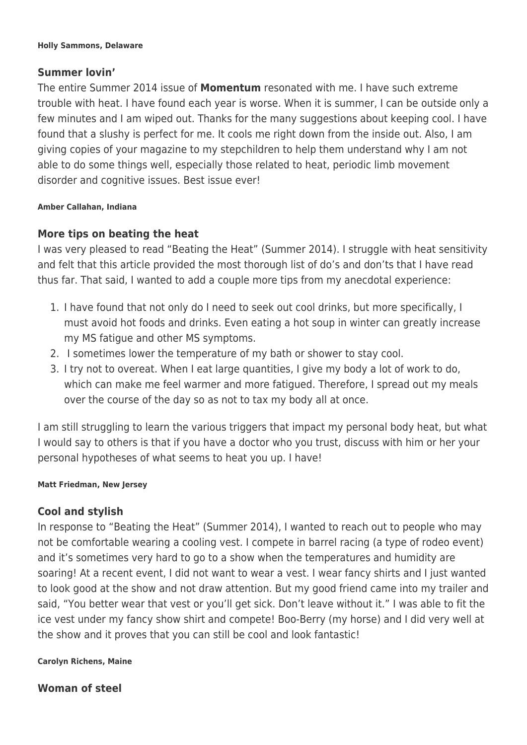## **Summer lovin'**

The entire Summer 2014 issue of **Momentum** resonated with me. I have such extreme trouble with heat. I have found each year is worse. When it is summer, I can be outside only a few minutes and I am wiped out. Thanks for the many suggestions about keeping cool. I have found that a slushy is perfect for me. It cools me right down from the inside out. Also, I am giving copies of your magazine to my stepchildren to help them understand why I am not able to do some things well, especially those related to heat, periodic limb movement disorder and cognitive issues. Best issue ever!

#### **Amber Callahan, Indiana**

# **More tips on beating the heat**

I was very pleased to read "Beating the Heat" (Summer 2014). I struggle with heat sensitivity and felt that this article provided the most thorough list of do's and don'ts that I have read thus far. That said, I wanted to add a couple more tips from my anecdotal experience:

- 1. I have found that not only do I need to seek out cool drinks, but more specifically, I must avoid hot foods and drinks. Even eating a hot soup in winter can greatly increase my MS fatigue and other MS symptoms.
- 2. I sometimes lower the temperature of my bath or shower to stay cool.
- 3. I try not to overeat. When I eat large quantities, I give my body a lot of work to do, which can make me feel warmer and more fatigued. Therefore, I spread out my meals over the course of the day so as not to tax my body all at once.

I am still struggling to learn the various triggers that impact my personal body heat, but what I would say to others is that if you have a doctor who you trust, discuss with him or her your personal hypotheses of what seems to heat you up. I have!

#### **Matt Friedman, New Jersey**

# **Cool and stylish**

In response to "Beating the Heat" (Summer 2014), I wanted to reach out to people who may not be comfortable wearing a cooling vest. I compete in barrel racing (a type of rodeo event) and it's sometimes very hard to go to a show when the temperatures and humidity are soaring! At a recent event, I did not want to wear a vest. I wear fancy shirts and I just wanted to look good at the show and not draw attention. But my good friend came into my trailer and said, "You better wear that vest or you'll get sick. Don't leave without it." I was able to fit the ice vest under my fancy show shirt and compete! Boo-Berry (my horse) and I did very well at the show and it proves that you can still be cool and look fantastic!

#### **Carolyn Richens, Maine**

**Woman of steel**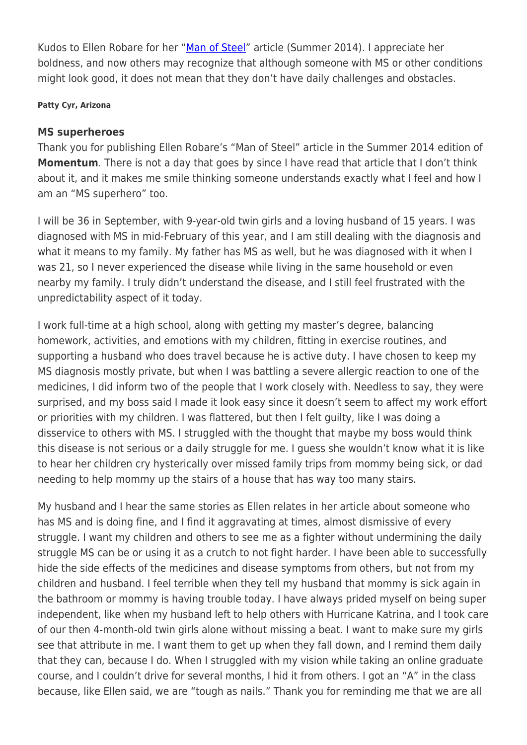Kudos to Ellen Robare for her ["Man of Steel"](https://momentummagazineonline.com/man-steel-heroes-ms/) article (Summer 2014). I appreciate her boldness, and now others may recognize that although someone with MS or other conditions might look good, it does not mean that they don't have daily challenges and obstacles.

#### **Patty Cyr, Arizona**

### **MS superheroes**

Thank you for publishing Ellen Robare's "Man of Steel" article in the Summer 2014 edition of **Momentum**. There is not a day that goes by since I have read that article that I don't think about it, and it makes me smile thinking someone understands exactly what I feel and how I am an "MS superhero" too.

I will be 36 in September, with 9-year-old twin girls and a loving husband of 15 years. I was diagnosed with MS in mid-February of this year, and I am still dealing with the diagnosis and what it means to my family. My father has MS as well, but he was diagnosed with it when I was 21, so I never experienced the disease while living in the same household or even nearby my family. I truly didn't understand the disease, and I still feel frustrated with the unpredictability aspect of it today.

I work full-time at a high school, along with getting my master's degree, balancing homework, activities, and emotions with my children, fitting in exercise routines, and supporting a husband who does travel because he is active duty. I have chosen to keep my MS diagnosis mostly private, but when I was battling a severe allergic reaction to one of the medicines, I did inform two of the people that I work closely with. Needless to say, they were surprised, and my boss said I made it look easy since it doesn't seem to affect my work effort or priorities with my children. I was flattered, but then I felt guilty, like I was doing a disservice to others with MS. I struggled with the thought that maybe my boss would think this disease is not serious or a daily struggle for me. I guess she wouldn't know what it is like to hear her children cry hysterically over missed family trips from mommy being sick, or dad needing to help mommy up the stairs of a house that has way too many stairs.

My husband and I hear the same stories as Ellen relates in her article about someone who has MS and is doing fine, and I find it aggravating at times, almost dismissive of every struggle. I want my children and others to see me as a fighter without undermining the daily struggle MS can be or using it as a crutch to not fight harder. I have been able to successfully hide the side effects of the medicines and disease symptoms from others, but not from my children and husband. I feel terrible when they tell my husband that mommy is sick again in the bathroom or mommy is having trouble today. I have always prided myself on being super independent, like when my husband left to help others with Hurricane Katrina, and I took care of our then 4-month-old twin girls alone without missing a beat. I want to make sure my girls see that attribute in me. I want them to get up when they fall down, and I remind them daily that they can, because I do. When I struggled with my vision while taking an online graduate course, and I couldn't drive for several months, I hid it from others. I got an "A" in the class because, like Ellen said, we are "tough as nails." Thank you for reminding me that we are all